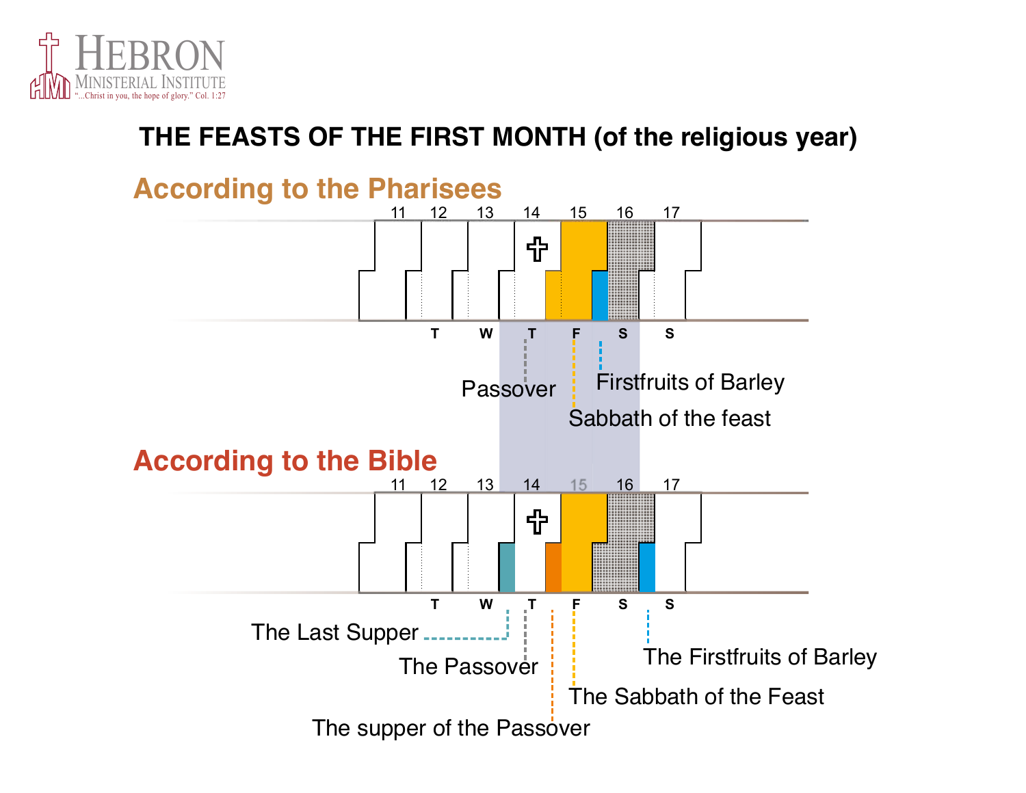

#### **THE FEASTS OF THE FIRST MONTH (of the religious year)**

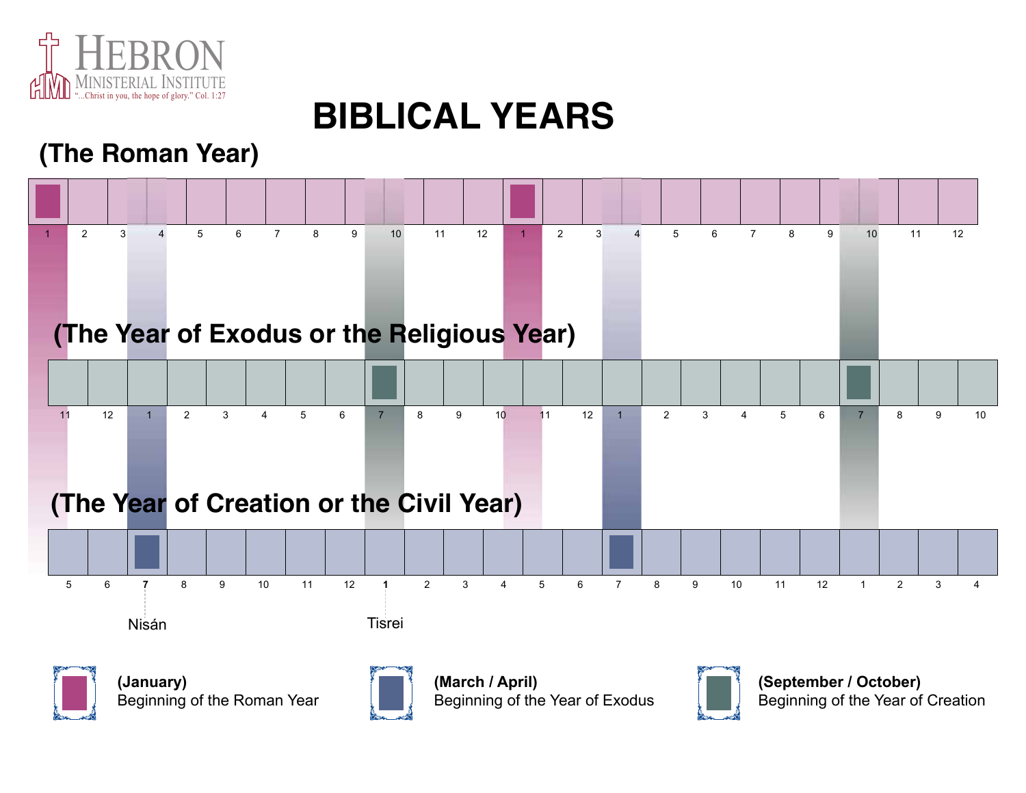

# **BIBLICAL YEARS**

#### **(The Roman Year)**





**(January)** Beginning of the Roman Year



**(March / April)** Beginning of the Year of Exodus



**(September / October)** Beginning of the Year of Creation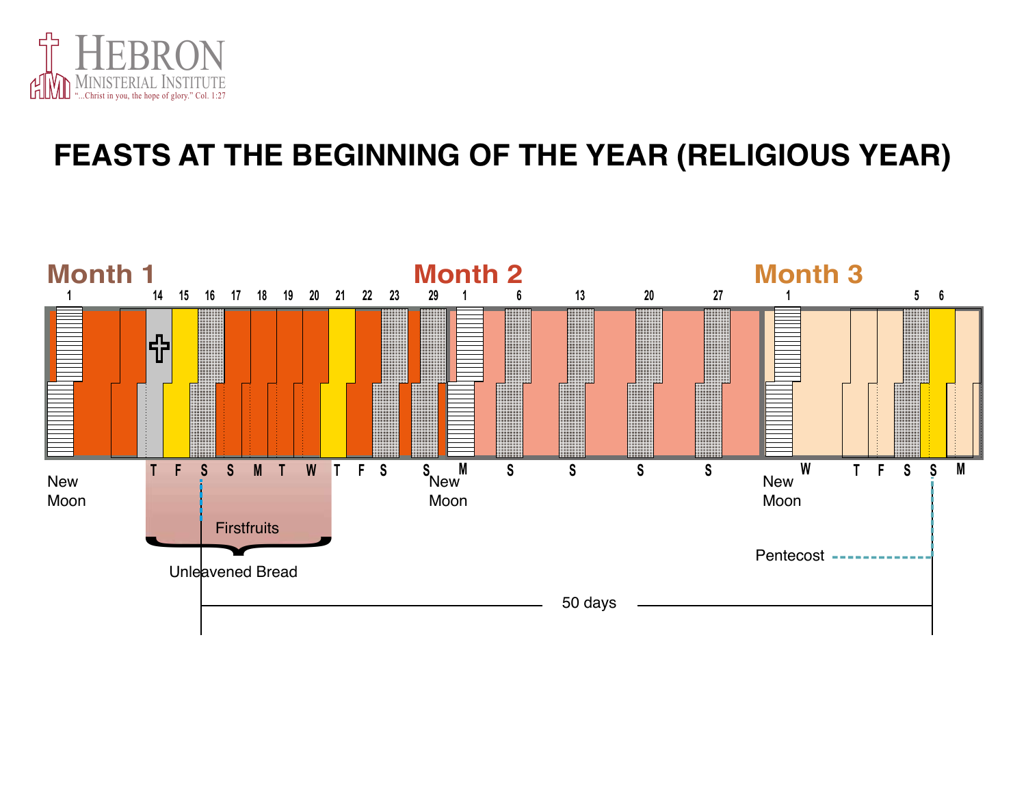

### **FEASTS AT THE BEGINNING OF THE YEAR (RELIGIOUS YEAR)**